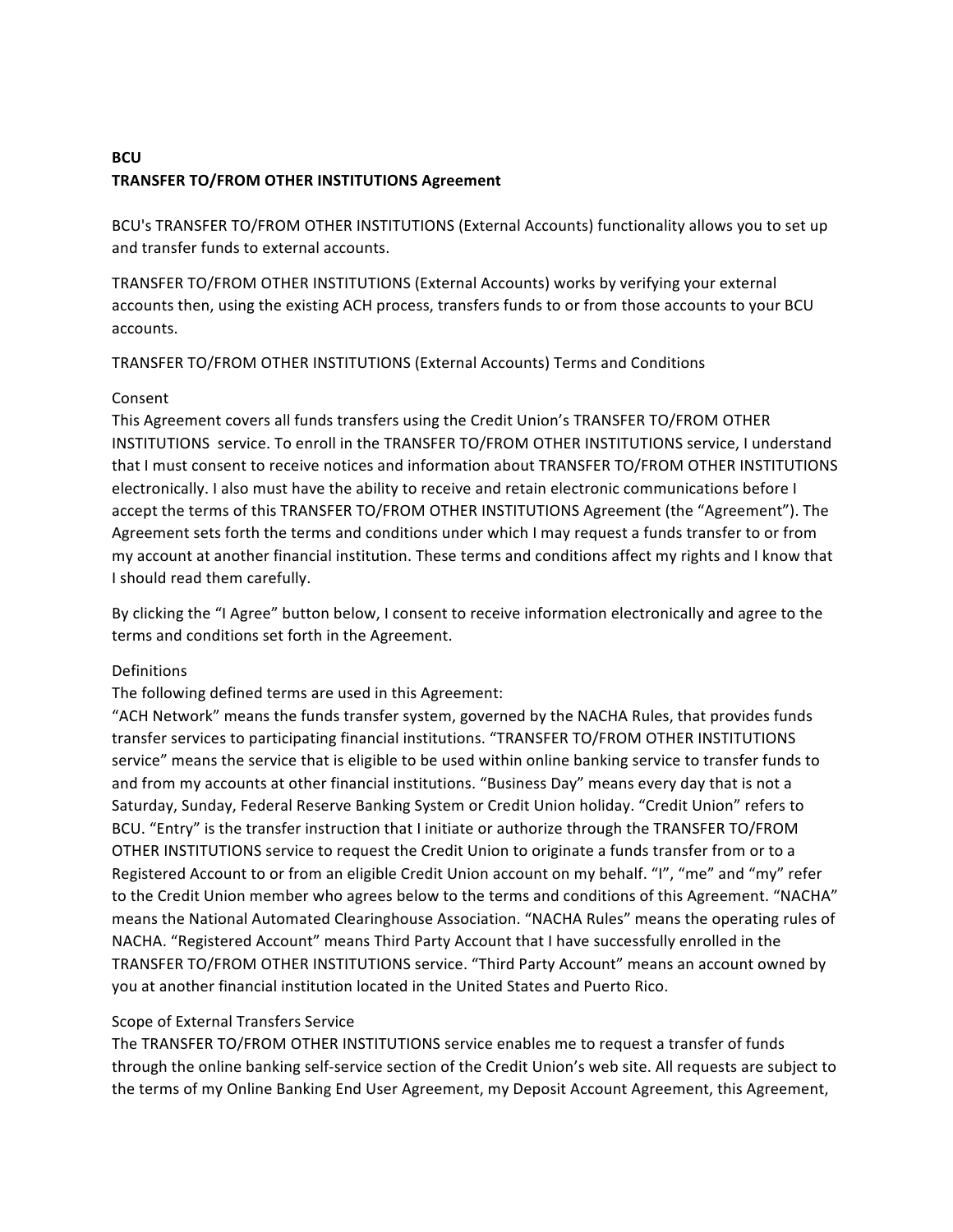# **BCU TRANSFER TO/FROM OTHER INSTITUTIONS Agreement**

BCU's TRANSFER TO/FROM OTHER INSTITUTIONS (External Accounts) functionality allows you to set up and transfer funds to external accounts.

TRANSFER TO/FROM OTHER INSTITUTIONS (External Accounts) works by verifying your external accounts then, using the existing ACH process, transfers funds to or from those accounts to your BCU accounts. 

TRANSFER TO/FROM OTHER INSTITUTIONS (External Accounts) Terms and Conditions

# Consent

This Agreement covers all funds transfers using the Credit Union's TRANSFER TO/FROM OTHER INSTITUTIONS service. To enroll in the TRANSFER TO/FROM OTHER INSTITUTIONS service, I understand that I must consent to receive notices and information about TRANSFER TO/FROM OTHER INSTITUTIONS electronically. I also must have the ability to receive and retain electronic communications before I accept the terms of this TRANSFER TO/FROM OTHER INSTITUTIONS Agreement (the "Agreement"). The Agreement sets forth the terms and conditions under which I may request a funds transfer to or from my account at another financial institution. These terms and conditions affect my rights and I know that I should read them carefully.

By clicking the "I Agree" button below, I consent to receive information electronically and agree to the terms and conditions set forth in the Agreement.

# Definitions

The following defined terms are used in this Agreement:

"ACH Network" means the funds transfer system, governed by the NACHA Rules, that provides funds transfer services to participating financial institutions. "TRANSFER TO/FROM OTHER INSTITUTIONS service" means the service that is eligible to be used within online banking service to transfer funds to and from my accounts at other financial institutions. "Business Day" means every day that is not a Saturday, Sunday, Federal Reserve Banking System or Credit Union holiday. "Credit Union" refers to BCU. "Entry" is the transfer instruction that I initiate or authorize through the TRANSFER TO/FROM OTHER INSTITUTIONS service to request the Credit Union to originate a funds transfer from or to a Registered Account to or from an eligible Credit Union account on my behalf. "I", "me" and "my" refer to the Credit Union member who agrees below to the terms and conditions of this Agreement. "NACHA" means the National Automated Clearinghouse Association. "NACHA Rules" means the operating rules of NACHA. "Registered Account" means Third Party Account that I have successfully enrolled in the TRANSFER TO/FROM OTHER INSTITUTIONS service. "Third Party Account" means an account owned by you at another financial institution located in the United States and Puerto Rico.

# Scope of External Transfers Service

The TRANSFER TO/FROM OTHER INSTITUTIONS service enables me to request a transfer of funds through the online banking self-service section of the Credit Union's web site. All requests are subject to the terms of my Online Banking End User Agreement, my Deposit Account Agreement, this Agreement,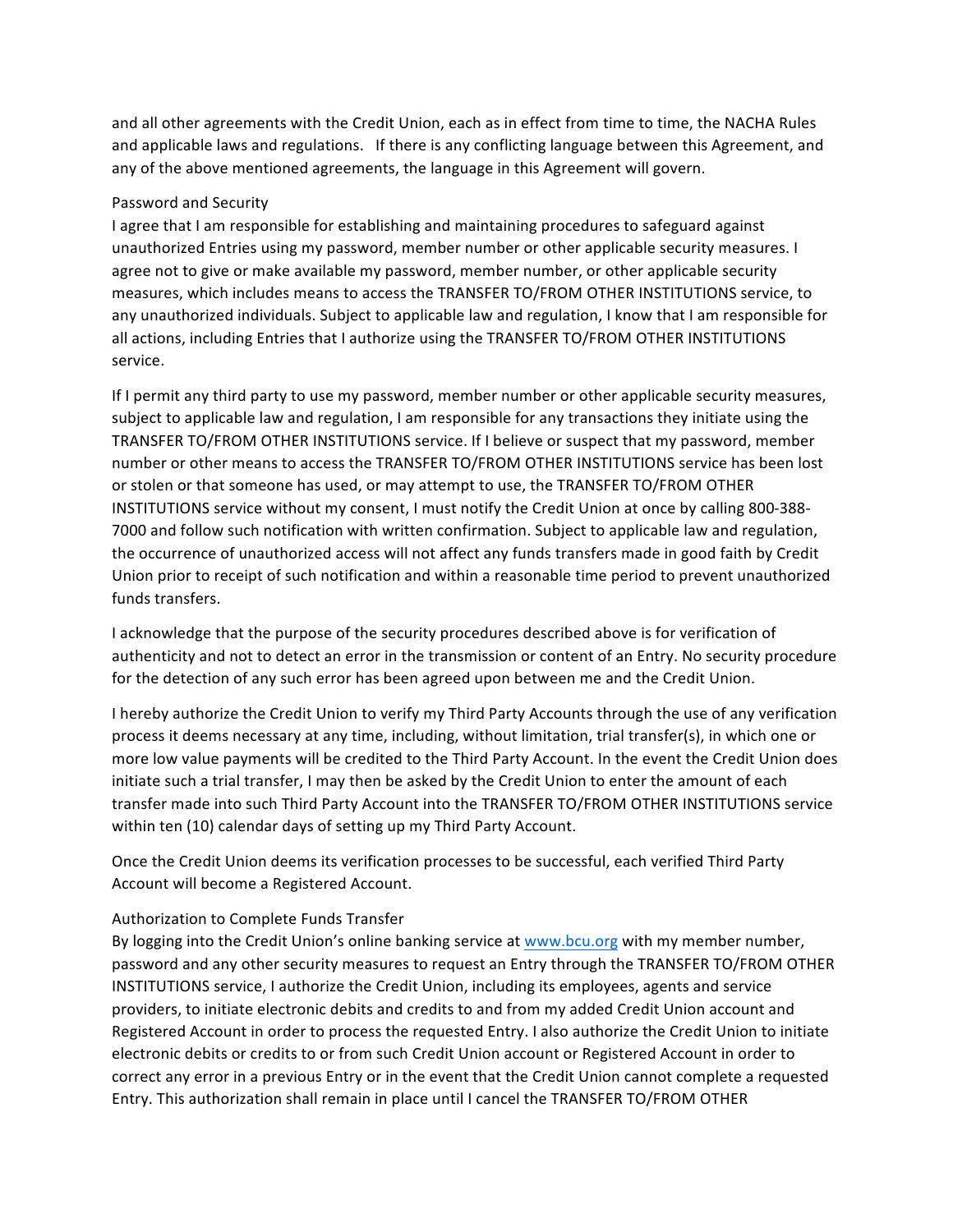and all other agreements with the Credit Union, each as in effect from time to time, the NACHA Rules and applicable laws and regulations. If there is any conflicting language between this Agreement, and any of the above mentioned agreements, the language in this Agreement will govern.

#### Password and Security

I agree that I am responsible for establishing and maintaining procedures to safeguard against unauthorized Entries using my password, member number or other applicable security measures. I agree not to give or make available my password, member number, or other applicable security measures, which includes means to access the TRANSFER TO/FROM OTHER INSTITUTIONS service, to any unauthorized individuals. Subject to applicable law and regulation, I know that I am responsible for all actions, including Entries that I authorize using the TRANSFER TO/FROM OTHER INSTITUTIONS service.

If I permit any third party to use my password, member number or other applicable security measures, subject to applicable law and regulation, I am responsible for any transactions they initiate using the TRANSFER TO/FROM OTHER INSTITUTIONS service. If I believe or suspect that my password, member number or other means to access the TRANSFER TO/FROM OTHER INSTITUTIONS service has been lost or stolen or that someone has used, or may attempt to use, the TRANSFER TO/FROM OTHER INSTITUTIONS service without my consent, I must notify the Credit Union at once by calling 800-388-7000 and follow such notification with written confirmation. Subject to applicable law and regulation, the occurrence of unauthorized access will not affect any funds transfers made in good faith by Credit Union prior to receipt of such notification and within a reasonable time period to prevent unauthorized funds transfers.

I acknowledge that the purpose of the security procedures described above is for verification of authenticity and not to detect an error in the transmission or content of an Entry. No security procedure for the detection of any such error has been agreed upon between me and the Credit Union.

I hereby authorize the Credit Union to verify my Third Party Accounts through the use of any verification process it deems necessary at any time, including, without limitation, trial transfer(s), in which one or more low value payments will be credited to the Third Party Account. In the event the Credit Union does initiate such a trial transfer, I may then be asked by the Credit Union to enter the amount of each transfer made into such Third Party Account into the TRANSFER TO/FROM OTHER INSTITUTIONS service within ten (10) calendar days of setting up my Third Party Account.

Once the Credit Union deems its verification processes to be successful, each verified Third Party Account will become a Registered Account.

## Authorization to Complete Funds Transfer

By logging into the Credit Union's online banking service at www.bcu.org with my member number, password and any other security measures to request an Entry through the TRANSFER TO/FROM OTHER INSTITUTIONS service, I authorize the Credit Union, including its employees, agents and service providers, to initiate electronic debits and credits to and from my added Credit Union account and Registered Account in order to process the requested Entry. I also authorize the Credit Union to initiate electronic debits or credits to or from such Credit Union account or Registered Account in order to correct any error in a previous Entry or in the event that the Credit Union cannot complete a requested Entry. This authorization shall remain in place until I cancel the TRANSFER TO/FROM OTHER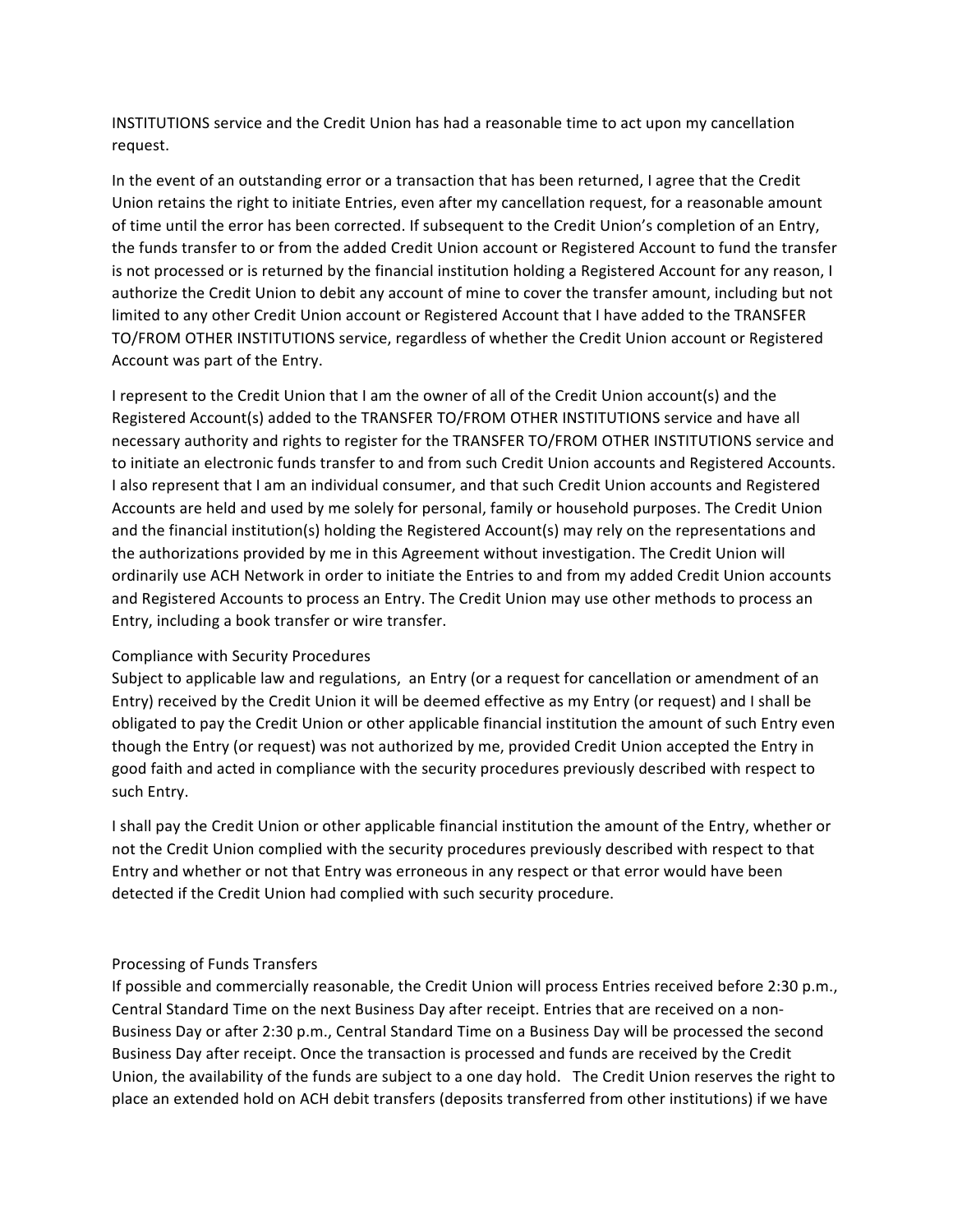**INSTITUTIONS** service and the Credit Union has had a reasonable time to act upon my cancellation request. 

In the event of an outstanding error or a transaction that has been returned, I agree that the Credit Union retains the right to initiate Entries, even after my cancellation request, for a reasonable amount of time until the error has been corrected. If subsequent to the Credit Union's completion of an Entry, the funds transfer to or from the added Credit Union account or Registered Account to fund the transfer is not processed or is returned by the financial institution holding a Registered Account for any reason, I authorize the Credit Union to debit any account of mine to cover the transfer amount, including but not limited to any other Credit Union account or Registered Account that I have added to the TRANSFER TO/FROM OTHER INSTITUTIONS service, regardless of whether the Credit Union account or Registered Account was part of the Entry.

I represent to the Credit Union that I am the owner of all of the Credit Union account(s) and the Registered Account(s) added to the TRANSFER TO/FROM OTHER INSTITUTIONS service and have all necessary authority and rights to register for the TRANSFER TO/FROM OTHER INSTITUTIONS service and to initiate an electronic funds transfer to and from such Credit Union accounts and Registered Accounts. I also represent that I am an individual consumer, and that such Credit Union accounts and Registered Accounts are held and used by me solely for personal, family or household purposes. The Credit Union and the financial institution(s) holding the Registered Account(s) may rely on the representations and the authorizations provided by me in this Agreement without investigation. The Credit Union will ordinarily use ACH Network in order to initiate the Entries to and from my added Credit Union accounts and Registered Accounts to process an Entry. The Credit Union may use other methods to process an Entry, including a book transfer or wire transfer.

#### Compliance with Security Procedures

Subject to applicable law and regulations, an Entry (or a request for cancellation or amendment of an Entry) received by the Credit Union it will be deemed effective as my Entry (or request) and I shall be obligated to pay the Credit Union or other applicable financial institution the amount of such Entry even though the Entry (or request) was not authorized by me, provided Credit Union accepted the Entry in good faith and acted in compliance with the security procedures previously described with respect to such Entry.

I shall pay the Credit Union or other applicable financial institution the amount of the Entry, whether or not the Credit Union complied with the security procedures previously described with respect to that Entry and whether or not that Entry was erroneous in any respect or that error would have been detected if the Credit Union had complied with such security procedure.

## Processing of Funds Transfers

If possible and commercially reasonable, the Credit Union will process Entries received before 2:30 p.m., Central Standard Time on the next Business Day after receipt. Entries that are received on a non-Business Day or after 2:30 p.m., Central Standard Time on a Business Day will be processed the second Business Day after receipt. Once the transaction is processed and funds are received by the Credit Union, the availability of the funds are subject to a one day hold. The Credit Union reserves the right to place an extended hold on ACH debit transfers (deposits transferred from other institutions) if we have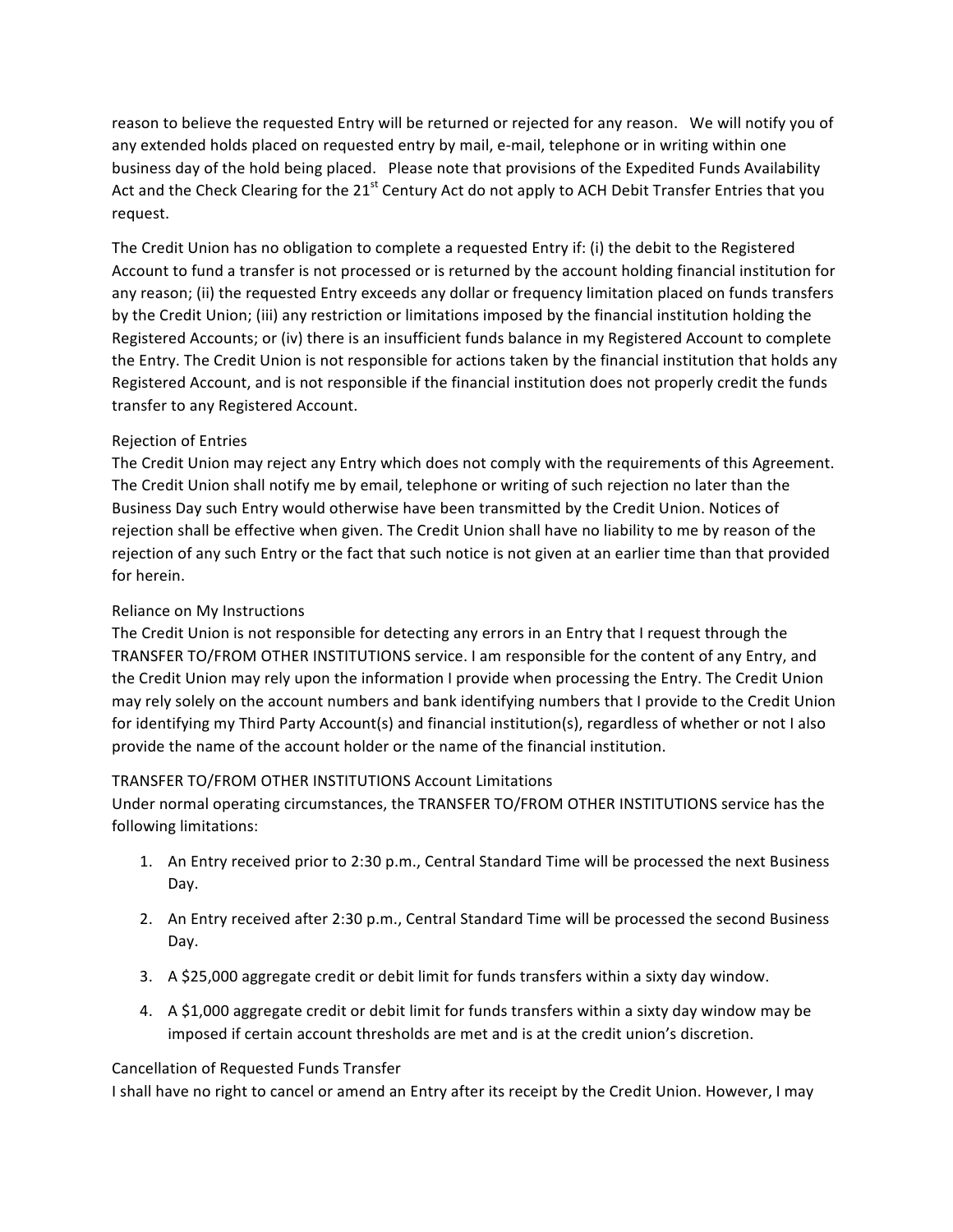reason to believe the requested Entry will be returned or rejected for any reason. We will notify you of any extended holds placed on requested entry by mail, e-mail, telephone or in writing within one business day of the hold being placed. Please note that provisions of the Expedited Funds Availability Act and the Check Clearing for the  $21<sup>st</sup>$  Century Act do not apply to ACH Debit Transfer Entries that you request. 

The Credit Union has no obligation to complete a requested Entry if: (i) the debit to the Registered Account to fund a transfer is not processed or is returned by the account holding financial institution for any reason; (ii) the requested Entry exceeds any dollar or frequency limitation placed on funds transfers by the Credit Union; (iii) any restriction or limitations imposed by the financial institution holding the Registered Accounts; or (iv) there is an insufficient funds balance in my Registered Account to complete the Entry. The Credit Union is not responsible for actions taken by the financial institution that holds any Registered Account, and is not responsible if the financial institution does not properly credit the funds transfer to any Registered Account.

## Rejection of Entries

The Credit Union may reject any Entry which does not comply with the requirements of this Agreement. The Credit Union shall notify me by email, telephone or writing of such rejection no later than the Business Day such Entry would otherwise have been transmitted by the Credit Union. Notices of rejection shall be effective when given. The Credit Union shall have no liability to me by reason of the rejection of any such Entry or the fact that such notice is not given at an earlier time than that provided for herein.

# Reliance on My Instructions

The Credit Union is not responsible for detecting any errors in an Entry that I request through the TRANSFER TO/FROM OTHER INSTITUTIONS service. I am responsible for the content of any Entry, and the Credit Union may rely upon the information I provide when processing the Entry. The Credit Union may rely solely on the account numbers and bank identifying numbers that I provide to the Credit Union for identifying my Third Party Account(s) and financial institution(s), regardless of whether or not I also provide the name of the account holder or the name of the financial institution.

## TRANSFER TO/FROM OTHER INSTITUTIONS Account Limitations

Under normal operating circumstances, the TRANSFER TO/FROM OTHER INSTITUTIONS service has the following limitations:

- 1. An Entry received prior to 2:30 p.m., Central Standard Time will be processed the next Business Day.
- 2. An Entry received after 2:30 p.m., Central Standard Time will be processed the second Business Day.
- 3. A \$25,000 aggregate credit or debit limit for funds transfers within a sixty day window.
- 4. A \$1,000 aggregate credit or debit limit for funds transfers within a sixty day window may be imposed if certain account thresholds are met and is at the credit union's discretion.

## Cancellation of Requested Funds Transfer

I shall have no right to cancel or amend an Entry after its receipt by the Credit Union. However, I may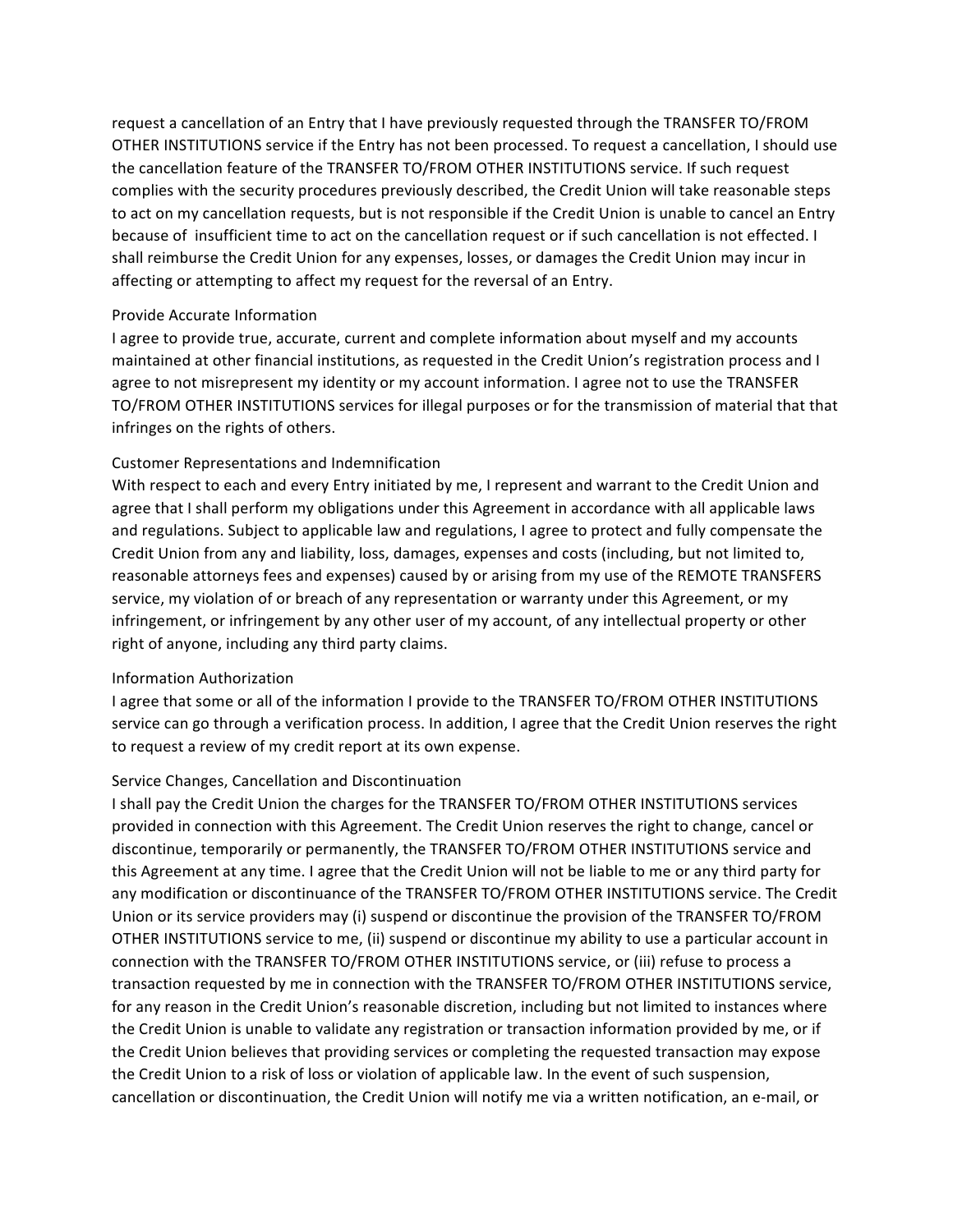request a cancellation of an Entry that I have previously requested through the TRANSFER TO/FROM OTHER INSTITUTIONS service if the Entry has not been processed. To request a cancellation, I should use the cancellation feature of the TRANSFER TO/FROM OTHER INSTITUTIONS service. If such request complies with the security procedures previously described, the Credit Union will take reasonable steps to act on my cancellation requests, but is not responsible if the Credit Union is unable to cancel an Entry because of insufficient time to act on the cancellation request or if such cancellation is not effected. I shall reimburse the Credit Union for any expenses, losses, or damages the Credit Union may incur in affecting or attempting to affect my request for the reversal of an Entry.

#### Provide Accurate Information

I agree to provide true, accurate, current and complete information about myself and my accounts maintained at other financial institutions, as requested in the Credit Union's registration process and I agree to not misrepresent my identity or my account information. I agree not to use the TRANSFER TO/FROM OTHER INSTITUTIONS services for illegal purposes or for the transmission of material that that infringes on the rights of others.

## Customer Representations and Indemnification

With respect to each and every Entry initiated by me, I represent and warrant to the Credit Union and agree that I shall perform my obligations under this Agreement in accordance with all applicable laws and regulations. Subject to applicable law and regulations, I agree to protect and fully compensate the Credit Union from any and liability, loss, damages, expenses and costs (including, but not limited to, reasonable attorneys fees and expenses) caused by or arising from my use of the REMOTE TRANSFERS service, my violation of or breach of any representation or warranty under this Agreement, or my infringement, or infringement by any other user of my account, of any intellectual property or other right of anyone, including any third party claims.

## Information Authorization

I agree that some or all of the information I provide to the TRANSFER TO/FROM OTHER INSTITUTIONS service can go through a verification process. In addition, I agree that the Credit Union reserves the right to request a review of my credit report at its own expense.

## Service Changes, Cancellation and Discontinuation

I shall pay the Credit Union the charges for the TRANSFER TO/FROM OTHER INSTITUTIONS services provided in connection with this Agreement. The Credit Union reserves the right to change, cancel or discontinue, temporarily or permanently, the TRANSFER TO/FROM OTHER INSTITUTIONS service and this Agreement at any time. I agree that the Credit Union will not be liable to me or any third party for any modification or discontinuance of the TRANSFER TO/FROM OTHER INSTITUTIONS service. The Credit Union or its service providers may (i) suspend or discontinue the provision of the TRANSFER TO/FROM OTHER INSTITUTIONS service to me, (ii) suspend or discontinue my ability to use a particular account in connection with the TRANSFER TO/FROM OTHER INSTITUTIONS service, or (iii) refuse to process a transaction requested by me in connection with the TRANSFER TO/FROM OTHER INSTITUTIONS service, for any reason in the Credit Union's reasonable discretion, including but not limited to instances where the Credit Union is unable to validate any registration or transaction information provided by me, or if the Credit Union believes that providing services or completing the requested transaction may expose the Credit Union to a risk of loss or violation of applicable law. In the event of such suspension, cancellation or discontinuation, the Credit Union will notify me via a written notification, an e-mail, or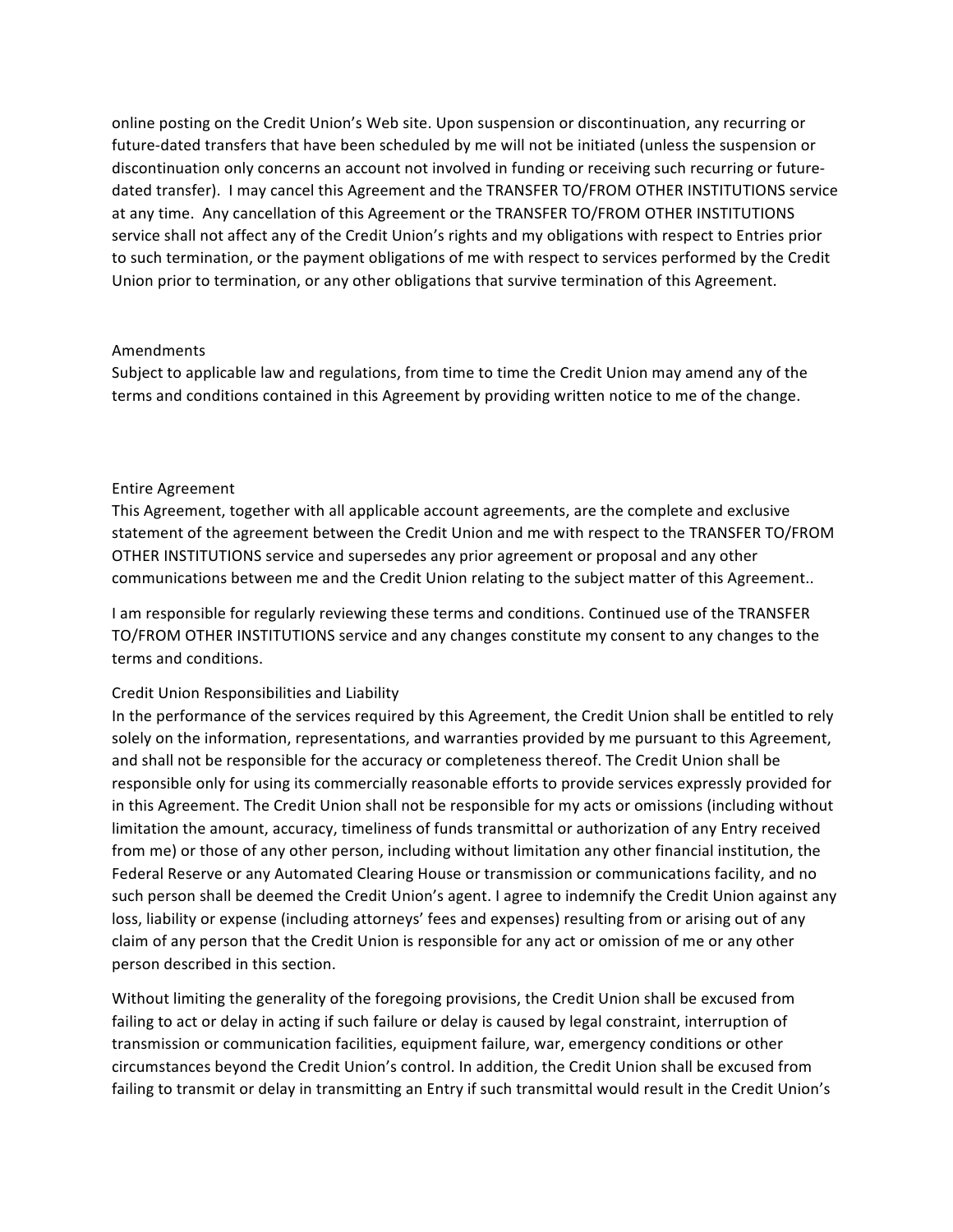online posting on the Credit Union's Web site. Upon suspension or discontinuation, any recurring or future-dated transfers that have been scheduled by me will not be initiated (unless the suspension or discontinuation only concerns an account not involved in funding or receiving such recurring or futuredated transfer). I may cancel this Agreement and the TRANSFER TO/FROM OTHER INSTITUTIONS service at any time. Any cancellation of this Agreement or the TRANSFER TO/FROM OTHER INSTITUTIONS service shall not affect any of the Credit Union's rights and my obligations with respect to Entries prior to such termination, or the payment obligations of me with respect to services performed by the Credit Union prior to termination, or any other obligations that survive termination of this Agreement.

#### Amendments

Subject to applicable law and regulations, from time to time the Credit Union may amend any of the terms and conditions contained in this Agreement by providing written notice to me of the change.

## Entire Agreement

This Agreement, together with all applicable account agreements, are the complete and exclusive statement of the agreement between the Credit Union and me with respect to the TRANSFER TO/FROM OTHER INSTITUTIONS service and supersedes any prior agreement or proposal and any other communications between me and the Credit Union relating to the subject matter of this Agreement..

I am responsible for regularly reviewing these terms and conditions. Continued use of the TRANSFER TO/FROM OTHER INSTITUTIONS service and any changes constitute my consent to any changes to the terms and conditions.

#### Credit Union Responsibilities and Liability

In the performance of the services required by this Agreement, the Credit Union shall be entitled to rely solely on the information, representations, and warranties provided by me pursuant to this Agreement, and shall not be responsible for the accuracy or completeness thereof. The Credit Union shall be responsible only for using its commercially reasonable efforts to provide services expressly provided for in this Agreement. The Credit Union shall not be responsible for my acts or omissions (including without limitation the amount, accuracy, timeliness of funds transmittal or authorization of any Entry received from me) or those of any other person, including without limitation any other financial institution, the Federal Reserve or any Automated Clearing House or transmission or communications facility, and no such person shall be deemed the Credit Union's agent. I agree to indemnify the Credit Union against any loss, liability or expense (including attorneys' fees and expenses) resulting from or arising out of any claim of any person that the Credit Union is responsible for any act or omission of me or any other person described in this section.

Without limiting the generality of the foregoing provisions, the Credit Union shall be excused from failing to act or delay in acting if such failure or delay is caused by legal constraint, interruption of transmission or communication facilities, equipment failure, war, emergency conditions or other circumstances beyond the Credit Union's control. In addition, the Credit Union shall be excused from failing to transmit or delay in transmitting an Entry if such transmittal would result in the Credit Union's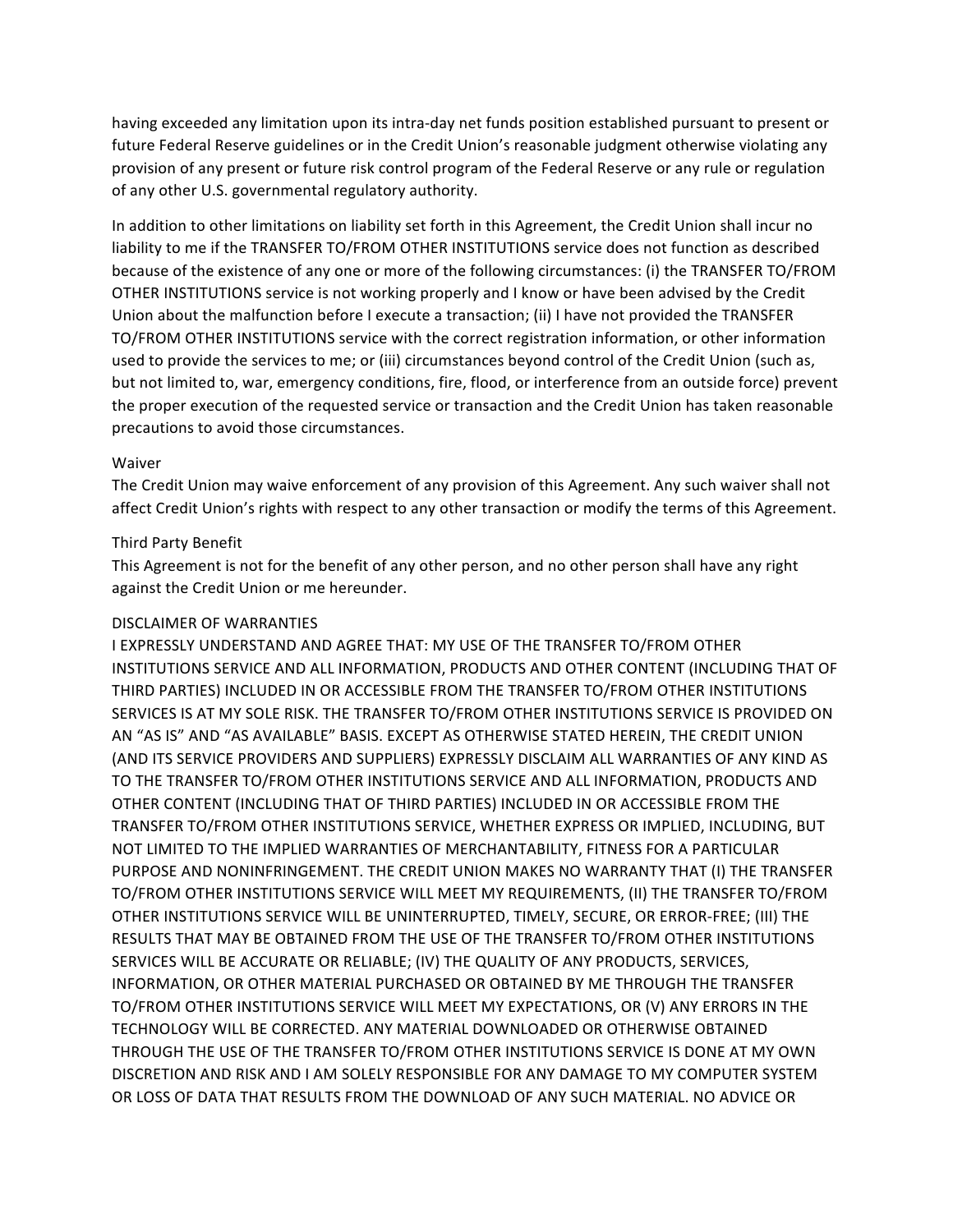having exceeded any limitation upon its intra-day net funds position established pursuant to present or future Federal Reserve guidelines or in the Credit Union's reasonable judgment otherwise violating any provision of any present or future risk control program of the Federal Reserve or any rule or regulation of any other U.S. governmental regulatory authority.

In addition to other limitations on liability set forth in this Agreement, the Credit Union shall incur no liability to me if the TRANSFER TO/FROM OTHER INSTITUTIONS service does not function as described because of the existence of any one or more of the following circumstances: (i) the TRANSFER TO/FROM OTHER INSTITUTIONS service is not working properly and I know or have been advised by the Credit Union about the malfunction before I execute a transaction; (ii) I have not provided the TRANSFER TO/FROM OTHER INSTITUTIONS service with the correct registration information, or other information used to provide the services to me; or (iii) circumstances beyond control of the Credit Union (such as, but not limited to, war, emergency conditions, fire, flood, or interference from an outside force) prevent the proper execution of the requested service or transaction and the Credit Union has taken reasonable precautions to avoid those circumstances.

#### Waiver

The Credit Union may waive enforcement of any provision of this Agreement. Any such waiver shall not affect Credit Union's rights with respect to any other transaction or modify the terms of this Agreement.

#### Third Party Benefit

This Agreement is not for the benefit of any other person, and no other person shall have any right against the Credit Union or me hereunder.

#### DISCLAIMER OF WARRANTIES

I EXPRESSLY UNDERSTAND AND AGREE THAT: MY USE OF THE TRANSFER TO/FROM OTHER INSTITUTIONS SERVICE AND ALL INFORMATION, PRODUCTS AND OTHER CONTENT (INCLUDING THAT OF THIRD PARTIES) INCLUDED IN OR ACCESSIBLE FROM THE TRANSFER TO/FROM OTHER INSTITUTIONS SERVICES IS AT MY SOLE RISK. THE TRANSFER TO/FROM OTHER INSTITUTIONS SERVICE IS PROVIDED ON AN "AS IS" AND "AS AVAILABLE" BASIS. EXCEPT AS OTHERWISE STATED HEREIN, THE CREDIT UNION (AND ITS SERVICE PROVIDERS AND SUPPLIERS) EXPRESSLY DISCLAIM ALL WARRANTIES OF ANY KIND AS TO THE TRANSFER TO/FROM OTHER INSTITUTIONS SERVICE AND ALL INFORMATION, PRODUCTS AND OTHER CONTENT (INCLUDING THAT OF THIRD PARTIES) INCLUDED IN OR ACCESSIBLE FROM THE TRANSFER TO/FROM OTHER INSTITUTIONS SERVICE, WHETHER EXPRESS OR IMPLIED, INCLUDING, BUT NOT LIMITED TO THE IMPLIED WARRANTIES OF MERCHANTABILITY, FITNESS FOR A PARTICULAR PURPOSE AND NONINFRINGEMENT. THE CREDIT UNION MAKES NO WARRANTY THAT (I) THE TRANSFER TO/FROM OTHER INSTITUTIONS SERVICE WILL MEET MY REQUIREMENTS, (II) THE TRANSFER TO/FROM OTHER INSTITUTIONS SERVICE WILL BE UNINTERRUPTED, TIMELY, SECURE, OR ERROR-FREE; (III) THE RESULTS THAT MAY BE OBTAINED FROM THE USE OF THE TRANSFER TO/FROM OTHER INSTITUTIONS SERVICES WILL BE ACCURATE OR RELIABLE; (IV) THE QUALITY OF ANY PRODUCTS, SERVICES, INFORMATION, OR OTHER MATERIAL PURCHASED OR OBTAINED BY ME THROUGH THE TRANSFER TO/FROM OTHER INSTITUTIONS SERVICE WILL MEET MY EXPECTATIONS, OR (V) ANY ERRORS IN THE TECHNOLOGY WILL BE CORRECTED. ANY MATERIAL DOWNLOADED OR OTHERWISE OBTAINED THROUGH THE USE OF THE TRANSFER TO/FROM OTHER INSTITUTIONS SERVICE IS DONE AT MY OWN DISCRETION AND RISK AND LAM SOLELY RESPONSIBLE FOR ANY DAMAGE TO MY COMPUTER SYSTEM OR LOSS OF DATA THAT RESULTS FROM THE DOWNLOAD OF ANY SUCH MATERIAL. NO ADVICE OR